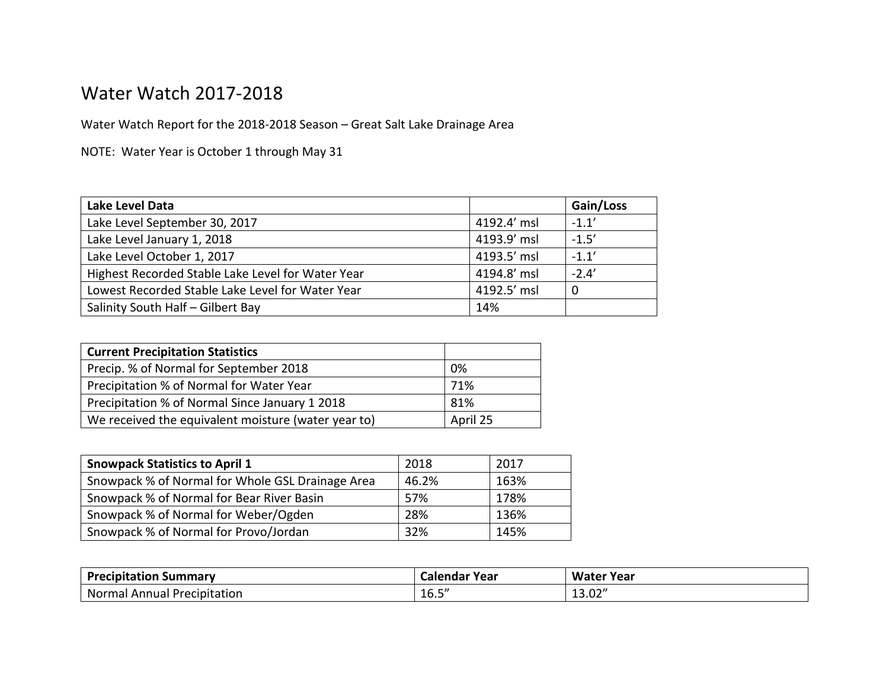## Water Watch 2017-2018

Water Watch Report for the 2018-2018 Season – Great Salt Lake Drainage Area

NOTE: Water Year is October 1 through May 31

| Lake Level Data                                   |             | Gain/Loss |
|---------------------------------------------------|-------------|-----------|
| Lake Level September 30, 2017                     | 4192.4' msl | $-1.1'$   |
| Lake Level January 1, 2018                        | 4193.9' msl | $-1.5'$   |
| Lake Level October 1, 2017                        | 4193.5' msl | $-1.1'$   |
| Highest Recorded Stable Lake Level for Water Year | 4194.8' msl | $-2.4'$   |
| Lowest Recorded Stable Lake Level for Water Year  | 4192.5' msl | $\Omega$  |
| Salinity South Half - Gilbert Bay                 | 14%         |           |

| <b>Current Precipitation Statistics</b>             |          |
|-----------------------------------------------------|----------|
| Precip. % of Normal for September 2018              | 0%       |
| Precipitation % of Normal for Water Year            | 71%      |
| Precipitation % of Normal Since January 1 2018      | 81%      |
| We received the equivalent moisture (water year to) | April 25 |

| <b>Snowpack Statistics to April 1</b>            | 2018  | 2017 |
|--------------------------------------------------|-------|------|
| Snowpack % of Normal for Whole GSL Drainage Area | 46.2% | 163% |
| Snowpack % of Normal for Bear River Basin        | 57%   | 178% |
| Snowpack % of Normal for Weber/Ogden             | 28%   | 136% |
| Snowpack % of Normal for Provo/Jordan            | 32%   | 145% |

| <b>Precipitation Summary</b>     | Calendar Year                      | Water<br>Year                  |
|----------------------------------|------------------------------------|--------------------------------|
| Normal Annual<br>' Precipitation | $\epsilon$ $\epsilon$ $\mu$<br>⊥∪. | יי ה<br>$\sim$<br><b>TO'NT</b> |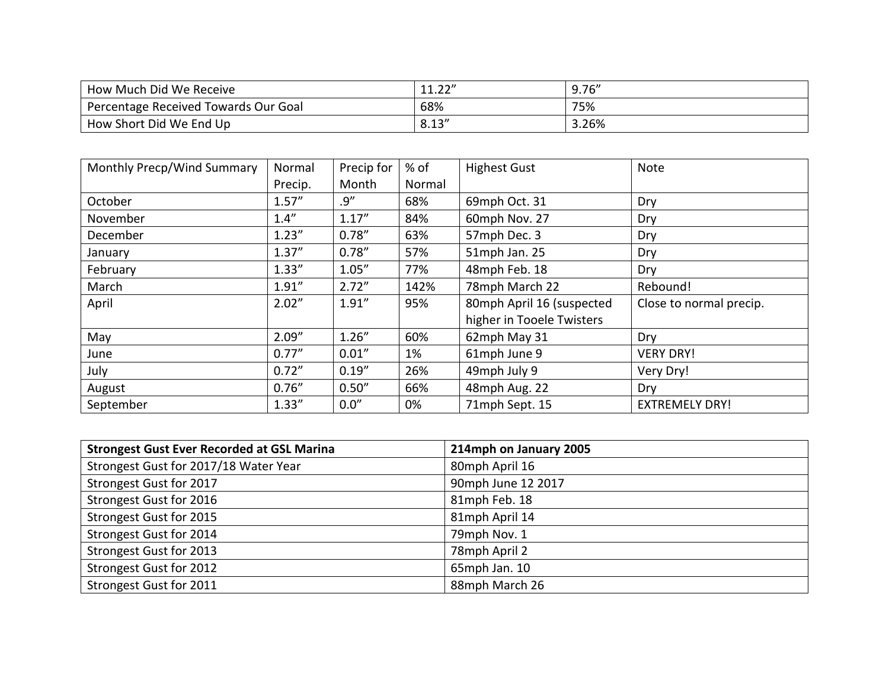| How Much Did We Receive              | ຸ່ງງ"  | 9.76'' |
|--------------------------------------|--------|--------|
| Percentage Received Towards Our Goal | 68%    | 75%    |
| How Short Did We End Up              | 8.13'' | 3.26%  |

| Monthly Precp/Wind Summary | Normal  | Precip for | $%$ of | <b>Highest Gust</b>       | Note                    |
|----------------------------|---------|------------|--------|---------------------------|-------------------------|
|                            | Precip. | Month      | Normal |                           |                         |
| October                    | 1.57''  | .9''       | 68%    | 69mph Oct. 31             | Dry                     |
| November                   | 1.4''   | 1.17''     | 84%    | 60mph Nov. 27             | Dry                     |
| December                   | 1.23''  | 0.78''     | 63%    | 57mph Dec. 3              | Dry                     |
| January                    | 1.37''  | 0.78''     | 57%    | 51mph Jan. 25             | Dry                     |
| February                   | 1.33''  | 1.05''     | 77%    | 48mph Feb. 18             | Dry                     |
| March                      | 1.91''  | 2.72"      | 142%   | 78mph March 22            | Rebound!                |
| April                      | 2.02"   | 1.91''     | 95%    | 80mph April 16 (suspected | Close to normal precip. |
|                            |         |            |        | higher in Tooele Twisters |                         |
| May                        | 2.09''  | 1.26''     | 60%    | 62mph May 31              | Dry                     |
| June                       | 0.77''  | 0.01''     | 1%     | 61mph June 9              | <b>VERY DRY!</b>        |
| July                       | 0.72''  | 0.19''     | 26%    | 49mph July 9              | Very Dry!               |
| August                     | 0.76''  | 0.50''     | 66%    | 48mph Aug. 22             | Dry                     |
| September                  | 1.33''  | 0.0"       | 0%     | 71mph Sept. 15            | <b>EXTREMELY DRY!</b>   |

| <b>Strongest Gust Ever Recorded at GSL Marina</b> | 214mph on January 2005 |
|---------------------------------------------------|------------------------|
| Strongest Gust for 2017/18 Water Year             | 80mph April 16         |
| Strongest Gust for 2017                           | 90mph June 12 2017     |
| Strongest Gust for 2016                           | 81mph Feb. 18          |
| Strongest Gust for 2015                           | 81mph April 14         |
| Strongest Gust for 2014                           | 79mph Nov. 1           |
| Strongest Gust for 2013                           | 78mph April 2          |
| Strongest Gust for 2012                           | 65mph Jan. 10          |
| Strongest Gust for 2011                           | 88mph March 26         |